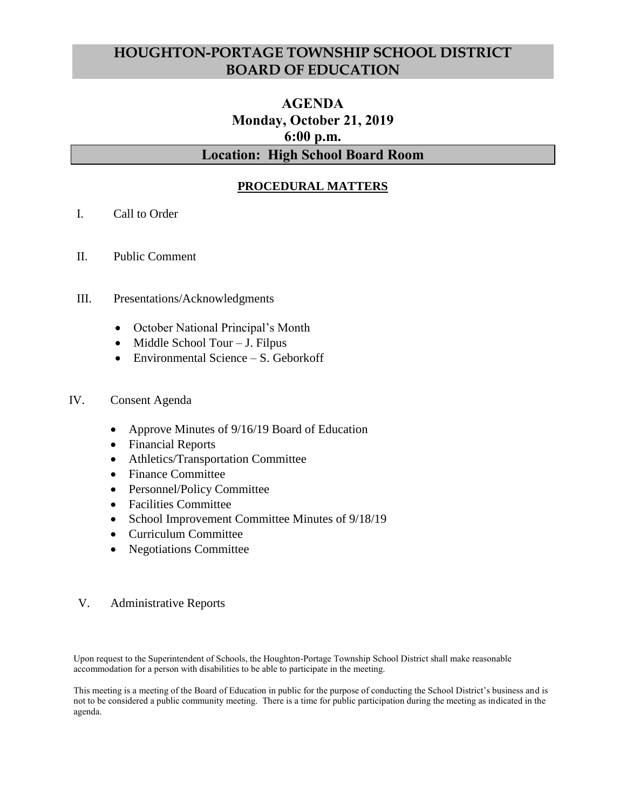## **HOUGHTON-PORTAGE TOWNSHIP SCHOOL DISTRICT BOARD OF EDUCATION**

# **AGENDA Monday, October 21, 2019 6:00 p.m. Location: High School Board Room**

## **PROCEDURAL MATTERS**

- I. Call to Order
- II. Public Comment
- III. Presentations/Acknowledgments
	- October National Principal's Month
	- $\bullet$  Middle School Tour J. Filpus
	- Environmental Science S. Geborkoff
- IV. Consent Agenda
	- Approve Minutes of 9/16/19 Board of Education
	- Financial Reports
	- Athletics/Transportation Committee
	- Finance Committee
	- Personnel/Policy Committee
	- Facilities Committee
	- School Improvement Committee Minutes of 9/18/19
	- Curriculum Committee
	- Negotiations Committee

#### V. Administrative Reports

Upon request to the Superintendent of Schools, the Houghton-Portage Township School District shall make reasonable accommodation for a person with disabilities to be able to participate in the meeting.

This meeting is a meeting of the Board of Education in public for the purpose of conducting the School District's business and is not to be considered a public community meeting. There is a time for public participation during the meeting as indicated in the agenda.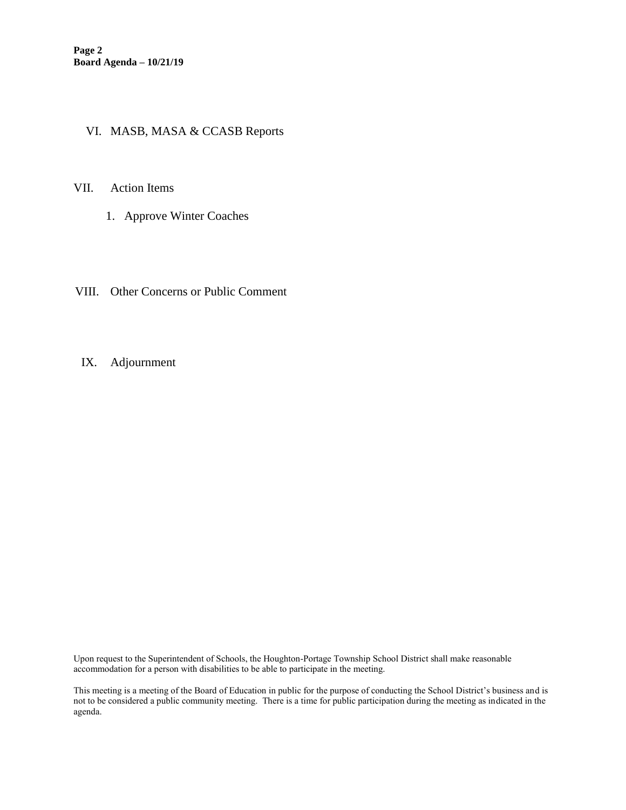### VI. MASB, MASA & CCASB Reports

#### VII. Action Items

- 1. Approve Winter Coaches
- VIII. Other Concerns or Public Comment
- IX. Adjournment

Upon request to the Superintendent of Schools, the Houghton-Portage Township School District shall make reasonable accommodation for a person with disabilities to be able to participate in the meeting.

This meeting is a meeting of the Board of Education in public for the purpose of conducting the School District's business and is not to be considered a public community meeting. There is a time for public participation during the meeting as indicated in the agenda.